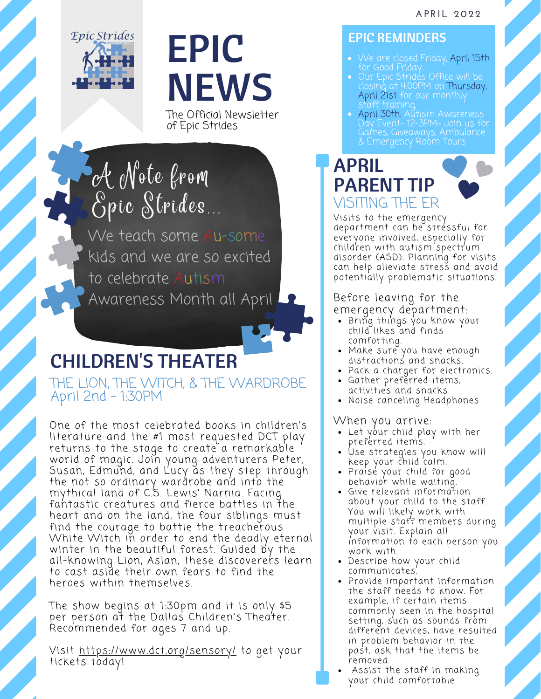

### EPIC NEWS

The Official Newsletter of Epic Strides

### A Note from Epic Strides

We teach some Au-some kids and we are so excited to celebrate Autism Awareness Month all April

### CHILDREN'S THEATER

THE LION, THE WITCH, & THE WARDROBE April 2nd - 1:30PM

One of the most celebrated books in children's literature and the #1 most requested DCT play returns to the stage to create a remarkable world of magic. Join young adventurers Peter, Susan, Edmund, and Lucy as they step through the not so ordinary wardrobe and into the mythical land of C.S. Lewis' Narnia. Facing fahtastic creatures and fierce battles in the heart and on the land, the four siblings must find the courage to battle the treacherous White Witch in order to end the deadly eternal winter in the beautiful forest. Guided by the all-knowing Lion, Aslan, these discoverers learn to cast aside their own fears to find the heroes within themselves.

The show begins at 1:30pm and it is only \$5 per person at the Dallas Children's Theater. Recommended for ages 7 and up.

Visit <https://www.dct.org/sensory/> to get your tickets today!

#### EPIC REMINDERS

- We are closed Friday, April 15th for Good Friday.
- Our Epic Strides Office will be closing at 4:00PM on Thursday, April 21st for our monthly staff training.
- April 30th: Autism Awareness Day Event- 12-3PM- Join us for Games, Giveaways, Ambulance & Emergency Robm Tours

#### APRIL PARENT TIP VISITING THE ER



Visits to the emergency department can be stressful for everyone involved, especially for children with autism spectrum disorder (ASD). Planning for visits can help alleviate stress and avoi[d](https://pubmed.ncbi.nlm.nih.gov/9546299/) potentially [problematic](https://pubmed.ncbi.nlm.nih.gov/9546299/) situations.

#### Before leaving for the emergency [department](https://pubmed.ncbi.nlm.nih.gov/9546299/):

- Bring things you know y[ou](https://pubmed.ncbi.nlm.nih.gov/9546299/)r child likes [an](https://pubmed.ncbi.nlm.nih.gov/9546299/)d finds [comforting.](https://pubmed.ncbi.nlm.nih.gov/9546299/)
- Make sure you have eno[u](https://pubmed.ncbi.nlm.nih.gov/9546299/)gh [distractions](https://pubmed.ncbi.nlm.nih.gov/9546299/) and snacks.
- Pack a charger for [electronics.](https://pubmed.ncbi.nlm.nih.gov/9546299/)
- Gather [preferred](https://pubmed.ncbi.nlm.nih.gov/9546299/) ite[m](https://pubmed.ncbi.nlm.nih.gov/9546299/)s, activities and snacks
- Noise canceling [Headphones](https://pubmed.ncbi.nlm.nih.gov/9546299/)

When you [arrive:](https://pubmed.ncbi.nlm.nih.gov/9546299/)

- Let your child pl[ay](https://pubmed.ncbi.nlm.nih.gov/9546299/) with her [preferred](https://pubmed.ncbi.nlm.nih.gov/9546299/) items.
- Use [strategies](https://pubmed.ncbi.nlm.nih.gov/9546299/) you k[n](https://pubmed.ncbi.nlm.nih.gov/9546299/)ow will keep your child 'calm.
- Praisé your child for g[oo](https://pubmed.ncbi.nlm.nih.gov/9546299/)d [behavior](https://pubmed.ncbi.nlm.nih.gov/9546299/) while waiting.
- Give relevant information about your child to the staff. You will likely work with multiple staff members during your visit. Explain all [information](https://pubmed.ncbi.nlm.nih.gov/9546299/) to each person you work with.
- Describe how [yo](https://pubmed.ncbi.nlm.nih.gov/9546299/)ur child [communicates.](https://pubmed.ncbi.nlm.nih.gov/9546299/)
- Provide important [information](https://pubmed.ncbi.nlm.nih.gov/9546299/) the staff needs to know. For example, if certain items commonly seen in the hospital setting, such as sounds from different devices, have resulted in problem behavior in the past, as[k](https://pubmed.ncbi.nlm.nih.gov/9546299/) that the items be [r](https://pubmed.ncbi.nlm.nih.gov/9546299/)emoved.
- Assist the st[a](https://pubmed.ncbi.nlm.nih.gov/9546299/)ff in making your child [comfortable](https://pubmed.ncbi.nlm.nih.gov/9546299/)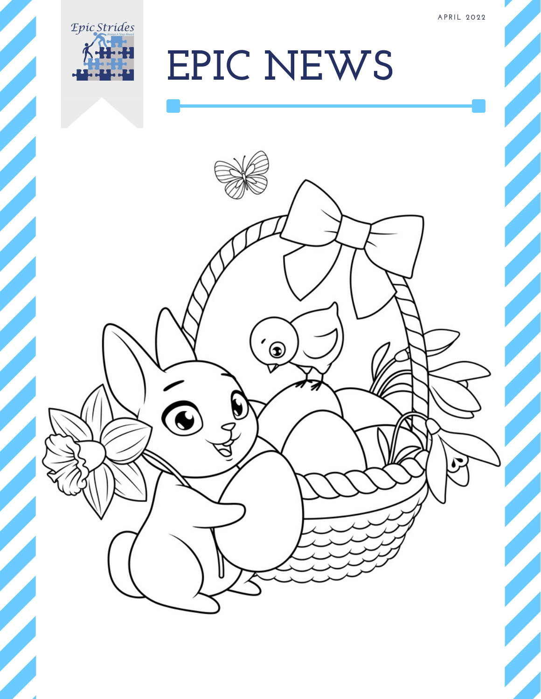

## **EPIC NEWS**